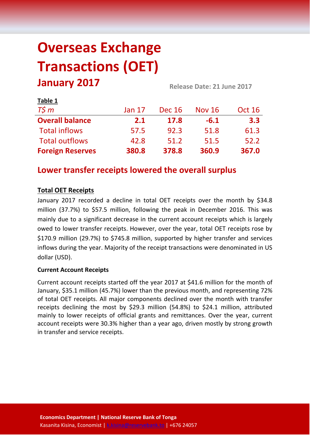# **Overseas Exchange Transactions (OET) January 2017 Release Date: <sup>21</sup> June <sup>2017</sup>**

| LUNIC T                 |               |               |               |               |
|-------------------------|---------------|---------------|---------------|---------------|
| $T\zeta m$              | <b>Jan 17</b> | <b>Dec 16</b> | <b>Nov 16</b> | <b>Oct 16</b> |
| <b>Overall balance</b>  | 2.1           | 17.8          | $-6.1$        | 3.3           |
| <b>Total inflows</b>    | 57.5          | 92.3          | 51.8          | 61.3          |
| <b>Total outflows</b>   | 42.8          | 51.2          | 51.5          | 52.2          |
| <b>Foreign Reserves</b> | 380.8         | 378.8         | 360.9         | 367.0         |

# **Lower transfer receipts lowered the overall surplus**

# **Total OET Receipts**

**Table 1**

January 2017 recorded a decline in total OET receipts over the month by \$34.8 million (37.7%) to \$57.5 million, following the peak in December 2016. This was mainly due to a significant decrease in the current account receipts which is largely owed to lower transfer receipts. However, over the year, total OET receipts rose by \$170.9 million (29.7%) to \$745.8 million, supported by higher transfer and services inflows during the year. Majority of the receipt transactions were denominated in US dollar (USD).

## **Current Account Receipts**

Current account receipts started off the year 2017 at \$41.6 million for the month of January, \$35.1 million (45.7%) lower than the previous month, and representing 72% of total OET receipts. All major components declined over the month with transfer receipts declining the most by \$29.3 million (54.8%) to \$24.1 million, attributed mainly to lower receipts of official grants and remittances. Over the year, current account receipts were 30.3% higher than a year ago, driven mostly by strong growth in transfer and service receipts.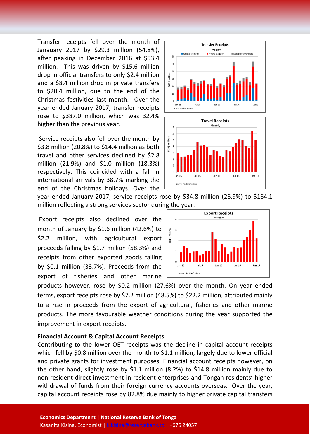Transfer receipts fell over the month of Janauary 2017 by \$29.3 million (54.8%), after peaking in December 2016 at \$53.4 million. This was driven by \$15.6 million drop in official transfers to only \$2.4 million and a \$8.4 million drop in private transfers to \$20.4 million, due to the end of the Christmas festivities last month. Over the year ended January 2017, transfer receipts rose to \$387.0 million, which was 32.4% higher than the previous year.

Service receipts also fell over the month by \$3.8 million (20.8%) to \$14.4 million as both travel and other services declined by \$2.8 million (21.9%) and \$1.0 million (18.3%) respectively. This coincided with a fall in international arrivals by 38.7% marking the end of the Christmas holidays. Over the

year ended January 2017, service receipts rose by \$34.8 million (26.9%) to \$164.1 million reflecting a strong services sector during the year.

Export receipts also declined over the month of January by \$1.6 million (42.6%) to \$2.2 million, with agricultural export proceeds falling by \$1.7 million (58.3%) and receipts from other exported goods falling by \$0.1 million (33.7%). Proceeds from the export of fisheries and other marine

products however, rose by \$0.2 million (27.6%) over the month. On year ended terms, export receipts rose by \$7.2 million (48.5%) to \$22.2 million, attributed mainly to a rise in proceeds from the export of agricultural, fisheries and other marine products. The more favourable weather conditions during the year supported the improvement in export receipts.

#### **Financial Account & Capital Account Receipts**

Contributing to the lower OET receipts was the decline in capital account receipts which fell by \$0.8 million over the month to \$1.1 million, largely due to lower official and private grants for investment purposes. Financial account receipts however, on the other hand, slightly rose by \$1.1 million (8.2%) to \$14.8 million mainly due to non-resident direct investment in resident enterprises and Tongan residents' higher withdrawal of funds from their foreign currency accounts overseas. Over the year, capital account receipts rose by 82.8% due mainly to higher private capital transfers



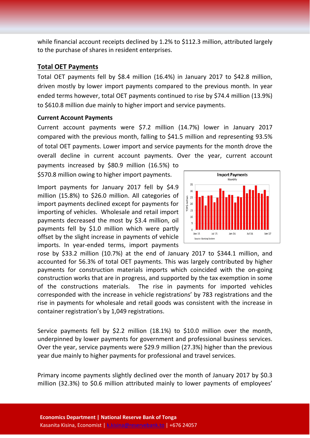while financial account receipts declined by 1.2% to \$112.3 million, attributed largely to the purchase of shares in resident enterprises.

### **Total OET Payments**

Total OET payments fell by \$8.4 million (16.4%) in January 2017 to \$42.8 million, driven mostly by lower import payments compared to the previous month. In year ended terms however, total OET payments continued to rise by \$74.4 million (13.9%) to \$610.8 million due mainly to higher import and service payments.

#### **Current Account Payments**

Current account payments were \$7.2 million (14.7%) lower in January 2017 compared with the previous month, falling to \$41.5 million and representing 93.5% of total OET payments. Lower import and service payments for the month drove the overall decline in current account payments. Over the year, current account

payments increased by \$80.9 million (16.5%) to \$570.8 million owing to higher import payments.

Import payments for January 2017 fell by \$4.9 million (15.8%) to \$26.0 million. All categories of import payments declined except for payments for importing of vehicles. Wholesale and retail import payments decreased the most by \$3.4 million, oil payments fell by \$1.0 million which were partly offset by the slight increase in payments of vehicle imports. In year-ended terms, import payments



rose by \$33.2 million (10.7%) at the end of January 2017 to \$344.1 million, and accounted for 56.3% of total OET payments. This was largely contributed by higher payments for construction materials imports which coincided with the on-going construction works that are in progress, and supported by the tax exemption in some of the constructions materials. The rise in payments for imported vehicles corresponded with the increase in vehicle registrations' by 783 registrations and the rise in payments for wholesale and retail goods was consistent with the increase in container registration's by 1,049 registrations.

Service payments fell by \$2.2 million (18.1%) to \$10.0 million over the month, underpinned by lower payments for government and professional business services. Over the year, service payments were \$29.9 million (27.3%) higher than the previous year due mainly to higher payments for professional and travel services.

Primary income payments slightly declined over the month of January 2017 by \$0.3 million (32.3%) to \$0.6 million attributed mainly to lower payments of employees'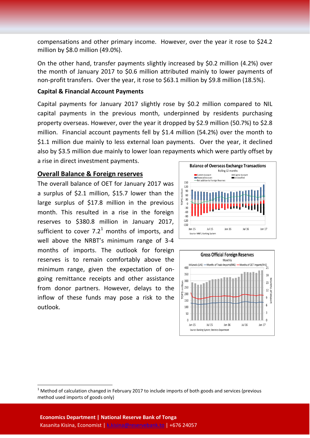compensations and other primary income. However, over the year it rose to \$24.2 million by \$8.0 million (49.0%).

On the other hand, transfer payments slightly increased by \$0.2 million (4.2%) over the month of January 2017 to \$0.6 million attributed mainly to lower payments of non-profit transfers. Over the year, it rose to \$63.1 million by \$9.8 million (18.5%).

#### **Capital & Financial Account Payments**

Capital payments for January 2017 slightly rose by \$0.2 million compared to NIL capital payments in the previous month, underpinned by residents purchasing property overseas. However, over the year it dropped by \$2.9 million (50.7%) to \$2.8 million. Financial account payments fell by \$1.4 million (54.2%) over the month to \$1.1 million due mainly to less external loan payments. Over the year, it declined also by \$3.5 million due mainly to lower loan repayments which were partly offset by a rise in direct investment payments.

#### **Overall Balance & Foreign reserves**

The overall balance of OET for January 2017 was a surplus of \$2.1 million, \$15.7 lower than the large surplus of \$17.8 million in the previous month. This resulted in a rise in the foreign reserves to \$380.8 million in January 2017, sufficient to cover  $7.2<sup>1</sup>$  $7.2<sup>1</sup>$  $7.2<sup>1</sup>$  months of imports, and well above the NRBT's minimum range of 3-4 months of imports. The outlook for foreign reserves is to remain comfortably above the minimum range, given the expectation of ongoing remittance receipts and other assistance from donor partners. However, delays to the inflow of these funds may pose a risk to the outlook.





<span id="page-3-0"></span> $1$  Method of calculation changed in February 2017 to include imports of both goods and services (previous method used imports of goods only)